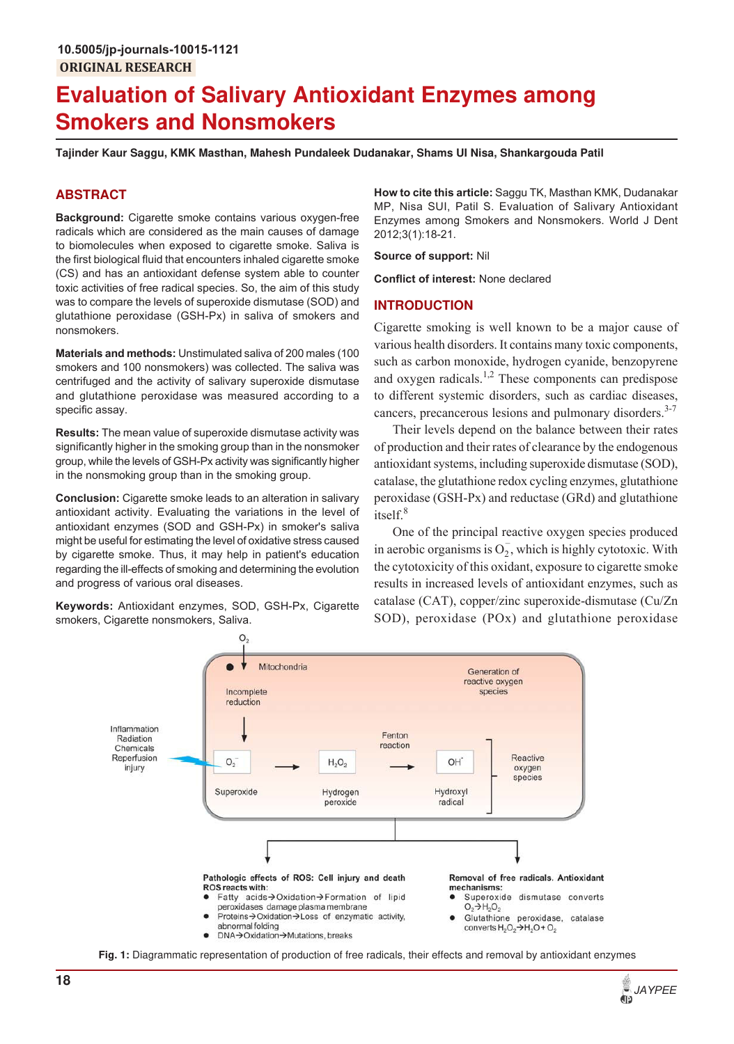# **Evaluation of Salivary Antioxidant Enzymes among Smokers and Nonsmokers**

**Tajinder Kaur Saggu, KMK Masthan, Mahesh Pundaleek Dudanakar, Shams UI Nisa, Shankargouda Patil**

## **ABSTRACT**

**Background:** Cigarette smoke contains various oxygen-free radicals which are considered as the main causes of damage to biomolecules when exposed to cigarette smoke. Saliva is the first biological fluid that encounters inhaled cigarette smoke (CS) and has an antioxidant defense system able to counter toxic activities of free radical species. So, the aim of this study was to compare the levels of superoxide dismutase (SOD) and glutathione peroxidase (GSH-Px) in saliva of smokers and nonsmokers.

**Materials and methods:** Unstimulated saliva of 200 males (100 smokers and 100 nonsmokers) was collected. The saliva was centrifuged and the activity of salivary superoxide dismutase and glutathione peroxidase was measured according to a specific assay.

**Results:** The mean value of superoxide dismutase activity was significantly higher in the smoking group than in the nonsmoker group, while the levels of GSH-Px activity was significantly higher in the nonsmoking group than in the smoking group.

**Conclusion:** Cigarette smoke leads to an alteration in salivary antioxidant activity. Evaluating the variations in the level of antioxidant enzymes (SOD and GSH-Px) in smoker's saliva might be useful for estimating the level of oxidative stress caused by cigarette smoke. Thus, it may help in patient's education regarding the ill-effects of smoking and determining the evolution and progress of various oral diseases.

**Keywords:** Antioxidant enzymes, SOD, GSH-Px, Cigarette smokers, Cigarette nonsmokers, Saliva.

**How to cite this article:** Saggu TK, Masthan KMK, Dudanakar MP, Nisa SUI, Patil S. Evaluation of Salivary Antioxidant Enzymes among Smokers and Nonsmokers. World J Dent 2012;3(1):18-21.

#### **Source of support:** Nil

**Conflict of interest:** None declared

#### **INTRODUCTION**

Cigarette smoking is well known to be a major cause of various health disorders. It contains many toxic components, such as carbon monoxide, hydrogen cyanide, benzopyrene and oxygen radicals.<sup>1,2</sup> These components can predispose to different systemic disorders, such as cardiac diseases, cancers, precancerous lesions and pulmonary disorders.<sup>3-7</sup>

Their levels depend on the balance between their rates of production and their rates of clearance by the endogenous antioxidant systems, including superoxide dismutase (SOD), catalase, the glutathione redox cycling enzymes, glutathione peroxidase (GSH-Px) and reductase (GRd) and glutathione itself.<sup>8</sup>

One of the principal reactive oxygen species produced in aerobic organisms is  $O_2$ , which is highly cytotoxic. With the cytotoxicity of this oxidant, exposure to cigarette smoke results in increased levels of antioxidant enzymes, such as catalase (CAT), copper/zinc superoxide-dismutase (Cu/Zn SOD), peroxidase (POx) and glutathione peroxidase



**Fig. 1:** Diagrammatic representation of production of free radicals, their effects and removal by antioxidant enzymes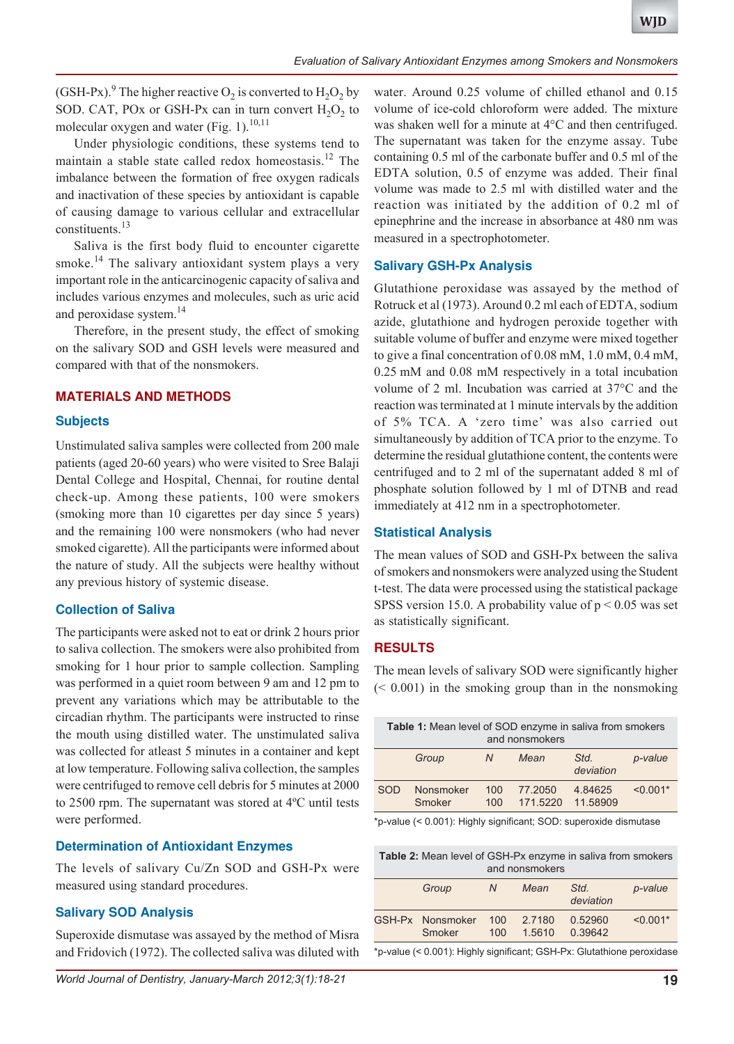(GSH-Px).<sup>9</sup> The higher reactive  $O_2$  is converted to  $H_2O_2$  by SOD. CAT, POx or GSH-Px can in turn convert  $H_2O_2$  to molecular oxygen and water (Fig. 1).<sup>10,11</sup>

Under physiologic conditions, these systems tend to maintain a stable state called redox homeostasis.<sup>12</sup> The imbalance between the formation of free oxygen radicals and inactivation of these species by antioxidant is capable of causing damage to various cellular and extracellular constituents.<sup>13</sup>

Saliva is the first body fluid to encounter cigarette smoke.<sup>14</sup> The salivary antioxidant system plays a very important role in the anticarcinogenic capacity of saliva and includes various enzymes and molecules, such as uric acid and peroxidase system.<sup>14</sup>

Therefore, in the present study, the effect of smoking on the salivary SOD and GSH levels were measured and compared with that of the nonsmokers.

## **MATERIALS AND METHODS**

## **Subjects**

Unstimulated saliva samples were collected from 200 male patients (aged 20-60 years) who were visited to Sree Balaji Dental College and Hospital, Chennai, for routine dental check-up. Among these patients, 100 were smokers (smoking more than 10 cigarettes per day since 5 years) and the remaining 100 were nonsmokers (who had never smoked cigarette). All the participants were informed about the nature of study. All the subjects were healthy without any previous history of systemic disease.

## **Collection of Saliva**

The participants were asked not to eat or drink 2 hours prior to saliva collection. The smokers were also prohibited from smoking for 1 hour prior to sample collection. Sampling was performed in a quiet room between 9 am and 12 pm to prevent any variations which may be attributable to the circadian rhythm. The participants were instructed to rinse the mouth using distilled water. The unstimulated saliva was collected for atleast 5 minutes in a container and kept at low temperature. Following saliva collection, the samples were centrifuged to remove cell debris for 5 minutes at 2000 to 2500 rpm. The supernatant was stored at 4ºC until tests were performed.

# **Determination of Antioxidant Enzymes**

The levels of salivary Cu/Zn SOD and GSH-Px were measured using standard procedures.

# **Salivary SOD Analysis**

Superoxide dismutase was assayed by the method of Misra and Fridovich (1972). The collected saliva was diluted with water. Around 0.25 volume of chilled ethanol and 0.15 volume of ice-cold chloroform were added. The mixture was shaken well for a minute at 4°C and then centrifuged. The supernatant was taken for the enzyme assay. Tube containing 0.5 ml of the carbonate buffer and 0.5 ml of the EDTA solution, 0.5 of enzyme was added. Their final volume was made to 2.5 ml with distilled water and the reaction was initiated by the addition of 0.2 ml of epinephrine and the increase in absorbance at 480 nm was measured in a spectrophotometer.

## **Salivary GSH-Px Analysis**

Glutathione peroxidase was assayed by the method of Rotruck et al (1973). Around 0.2 ml each of EDTA, sodium azide, glutathione and hydrogen peroxide together with suitable volume of buffer and enzyme were mixed together to give a final concentration of 0.08 mM, 1.0 mM, 0.4 mM, 0.25 mM and 0.08 mM respectively in a total incubation volume of 2 ml. Incubation was carried at 37°C and the reaction was terminated at 1 minute intervals by the addition of 5% TCA. A 'zero time' was also carried out simultaneously by addition of TCA prior to the enzyme. To determine the residual glutathione content, the contents were centrifuged and to 2 ml of the supernatant added 8 ml of phosphate solution followed by 1 ml of DTNB and read immediately at 412 nm in a spectrophotometer.

## **Statistical Analysis**

The mean values of SOD and GSH-Px between the saliva of smokers and nonsmokers were analyzed using the Student t-test. The data were processed using the statistical package SPSS version 15.0. A probability value of  $p \le 0.05$  was set as statistically significant.

## **RESULTS**

The mean levels of salivary SOD were significantly higher  $( $0.001$ )$  in the smoking group than in the nonsmoking

| <b>Table 1:</b> Mean level of SOD enzyme in saliva from smokers<br>and nonsmokers |                     |            |                     |                     |            |  |  |  |
|-----------------------------------------------------------------------------------|---------------------|------------|---------------------|---------------------|------------|--|--|--|
|                                                                                   | Group               | N          | Mean                | Std.<br>deviation   | p-value    |  |  |  |
| SOD                                                                               | Nonsmoker<br>Smoker | 100<br>100 | 77,2050<br>171.5220 | 4.84625<br>11.58909 | $< 0.001*$ |  |  |  |
| *p-value (< 0.001): Highly significant; SOD: superoxide dismutase                 |                     |            |                     |                     |            |  |  |  |

**Table 2:** Mean level of GSH-Px enzyme in saliva from smokers and nonsmokers

|                                                                        | Group                      | N          | Mean             | Std.<br>deviation  | p-value    |  |  |  |
|------------------------------------------------------------------------|----------------------------|------------|------------------|--------------------|------------|--|--|--|
|                                                                        | GSH-Px Nonsmoker<br>Smoker | 100<br>100 | 2.7180<br>1.5610 | 0.52960<br>0.39642 | $< 0.001*$ |  |  |  |
| *p-value (< 0.001): Highly significant: GSH-Px: Glutathione peroxidase |                            |            |                  |                    |            |  |  |  |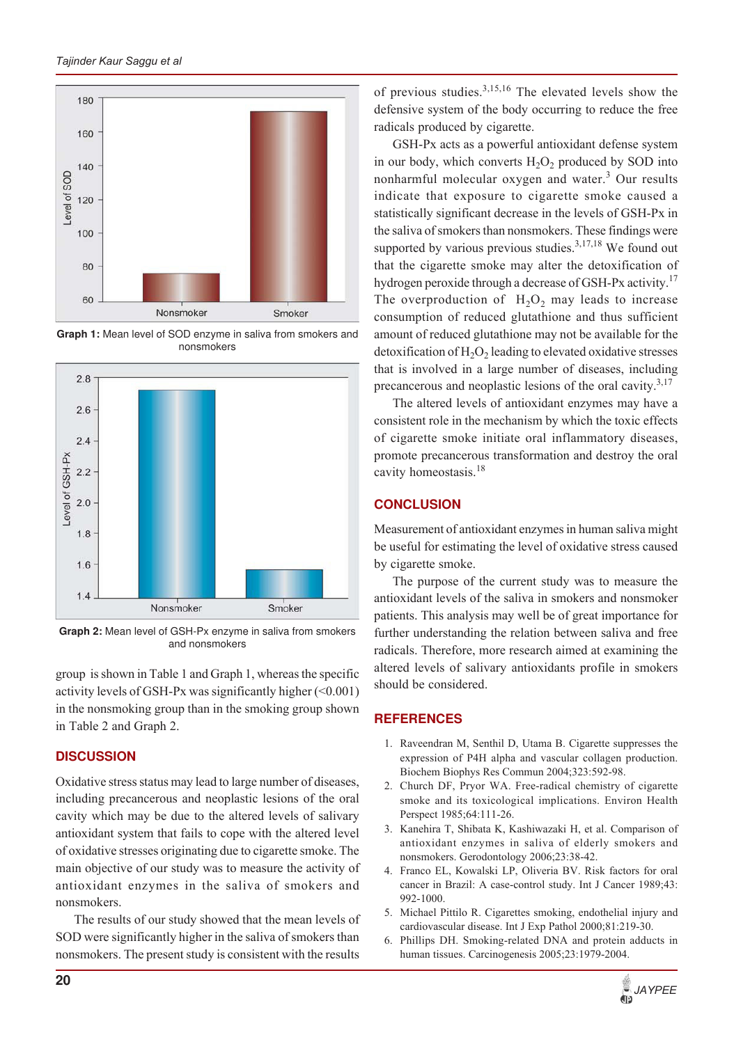

**Graph 1:** Mean level of SOD enzyme in saliva from smokers and nonsmokers



**Graph 2:** Mean level of GSH-Px enzyme in saliva from smokers and nonsmokers

group is shown in Table 1 and Graph 1, whereas the specific activity levels of GSH-Px was significantly higher  $(\leq 0.001)$ in the nonsmoking group than in the smoking group shown in Table 2 and Graph 2.

# **DISCUSSION**

Oxidative stress status may lead to large number of diseases, including precancerous and neoplastic lesions of the oral cavity which may be due to the altered levels of salivary antioxidant system that fails to cope with the altered level of oxidative stresses originating due to cigarette smoke. The main objective of our study was to measure the activity of antioxidant enzymes in the saliva of smokers and nonsmokers.

The results of our study showed that the mean levels of SOD were significantly higher in the saliva of smokers than nonsmokers. The present study is consistent with the results

of previous studies. $3,15,16$  The elevated levels show the defensive system of the body occurring to reduce the free radicals produced by cigarette.

GSH-Px acts as a powerful antioxidant defense system in our body, which converts  $H_2O_2$  produced by SOD into nonharmful molecular oxygen and water.<sup>3</sup> Our results indicate that exposure to cigarette smoke caused a statistically significant decrease in the levels of GSH-Px in the saliva of smokers than nonsmokers. These findings were supported by various previous studies. $3,17,18$  We found out that the cigarette smoke may alter the detoxification of hydrogen peroxide through a decrease of GSH-Px activity.<sup>17</sup> The overproduction of  $H_2O_2$  may leads to increase consumption of reduced glutathione and thus sufficient amount of reduced glutathione may not be available for the detoxification of  $\rm H_2O_2$  leading to elevated oxidative stresses that is involved in a large number of diseases, including precancerous and neoplastic lesions of the oral cavity. $3,17$ 

The altered levels of antioxidant enzymes may have a consistent role in the mechanism by which the toxic effects of cigarette smoke initiate oral inflammatory diseases, promote precancerous transformation and destroy the oral cavity homeostasis.<sup>18</sup>

# **CONCLUSION**

Measurement of antioxidant enzymes in human saliva might be useful for estimating the level of oxidative stress caused by cigarette smoke.

The purpose of the current study was to measure the antioxidant levels of the saliva in smokers and nonsmoker patients. This analysis may well be of great importance for further understanding the relation between saliva and free radicals. Therefore, more research aimed at examining the altered levels of salivary antioxidants profile in smokers should be considered.

# **REFERENCES**

- 1. Raveendran M, Senthil D, Utama B. Cigarette suppresses the expression of P4H alpha and vascular collagen production. Biochem Biophys Res Commun 2004;323:592-98.
- 2. Church DF, Pryor WA. Free-radical chemistry of cigarette smoke and its toxicological implications. Environ Health Perspect 1985;64:111-26.
- 3. Kanehira T, Shibata K, Kashiwazaki H, et al. Comparison of antioxidant enzymes in saliva of elderly smokers and nonsmokers. Gerodontology 2006;23:38-42.
- 4. Franco EL, Kowalski LP, Oliveria BV. Risk factors for oral cancer in Brazil: A case-control study. Int J Cancer 1989;43: 992-1000.
- 5. Michael Pittilo R. Cigarettes smoking, endothelial injury and cardiovascular disease. Int J Exp Pathol 2000;81:219-30.
- 6. Phillips DH. Smoking-related DNA and protein adducts in human tissues. Carcinogenesis 2005;23:1979-2004.